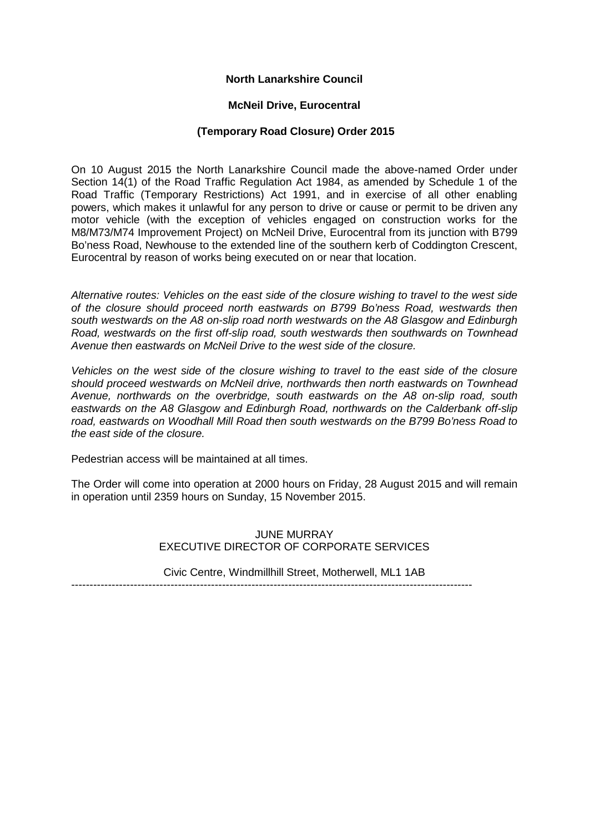# **North Lanarkshire Council**

# **McNeil Drive, Eurocentral**

## **(Temporary Road Closure) Order 2015**

On 10 August 2015 the North Lanarkshire Council made the above-named Order under Section 14(1) of the Road Traffic Regulation Act 1984, as amended by Schedule 1 of the Road Traffic (Temporary Restrictions) Act 1991, and in exercise of all other enabling powers, which makes it unlawful for any person to drive or cause or permit to be driven any motor vehicle (with the exception of vehicles engaged on construction works for the M8/M73/M74 Improvement Project) on McNeil Drive, Eurocentral from its junction with B799 Bo'ness Road, Newhouse to the extended line of the southern kerb of Coddington Crescent, Eurocentral by reason of works being executed on or near that location.

*Alternative routes: Vehicles on the east side of the closure wishing to travel to the west side of the closure should proceed north eastwards on B799 Bo'ness Road, westwards then south westwards on the A8 on-slip road north westwards on the A8 Glasgow and Edinburgh Road, westwards on the first off-slip road, south westwards then southwards on Townhead Avenue then eastwards on McNeil Drive to the west side of the closure.*

*Vehicles on the west side of the closure wishing to travel to the east side of the closure should proceed westwards on McNeil drive, northwards then north eastwards on Townhead Avenue, northwards on the overbridge, south eastwards on the A8 on-slip road, south eastwards on the A8 Glasgow and Edinburgh Road, northwards on the Calderbank off-slip road, eastwards on Woodhall Mill Road then south westwards on the B799 Bo'ness Road to the east side of the closure.* 

Pedestrian access will be maintained at all times.

The Order will come into operation at 2000 hours on Friday, 28 August 2015 and will remain in operation until 2359 hours on Sunday, 15 November 2015.

> JUNE MURRAY EXECUTIVE DIRECTOR OF CORPORATE SERVICES

Civic Centre, Windmillhill Street, Motherwell, ML1 1AB

-------------------------------------------------------------------------------------------------------------